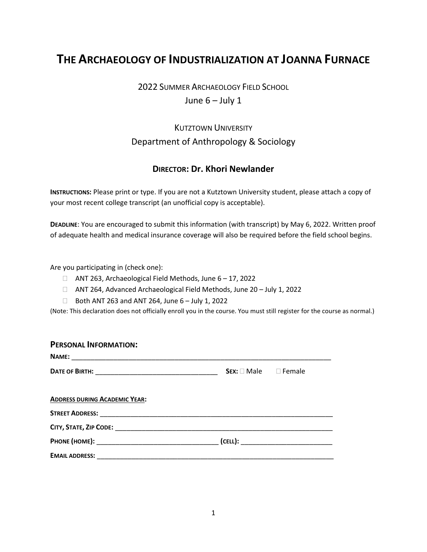# **THE ARCHAEOLOGY OF INDUSTRIALIZATION AT JOANNA FURNACE**

### 2022 SUMMER ARCHAEOLOGY FIELD SCHOOL June  $6 -$  July 1

## **KUTZTOWN UNIVERSITY** Department of Anthropology & Sociology

### **DIRECTOR: Dr. Khori Newlander**

**INSTRUCTIONS:** Please print or type. If you are not a Kutztown University student, please attach a copy of your most recent college transcript (an unofficial copy is acceptable).

**DEADLINE**: You are encouraged to submit this information (with transcript) by May 6, 2022. Written proof of adequate health and medical insurance coverage will also be required before the field school begins.

Are you participating in (check one):

- ANT 263, Archaeological Field Methods, June 6 17, 2022
- ANT 264, Advanced Archaeological Field Methods, June 20 July 1, 2022
- $\Box$  Both ANT 263 and ANT 264, June 6 July 1, 2022

(Note: This declaration does not officially enroll you in the course. You must still register for the course as normal.)

| <b>PERSONAL INFORMATION:</b>         |                                    |  |
|--------------------------------------|------------------------------------|--|
|                                      |                                    |  |
|                                      | $Sex: \square Male \square Female$ |  |
| <b>ADDRESS DURING ACADEMIC YEAR:</b> |                                    |  |
|                                      |                                    |  |
|                                      |                                    |  |
|                                      |                                    |  |
|                                      |                                    |  |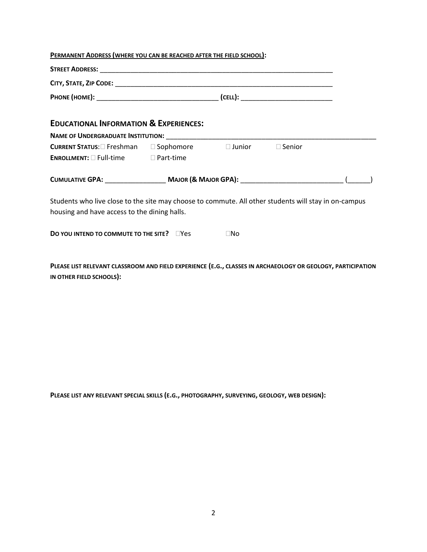#### **PERMANENT ADDRESS (WHERE YOU CAN BE REACHED AFTER THE FIELD SCHOOL):**

| <b>EDUCATIONAL INFORMATION &amp; EXPERIENCES:</b>                                                                                                    |  |              |  |  |  |
|------------------------------------------------------------------------------------------------------------------------------------------------------|--|--------------|--|--|--|
|                                                                                                                                                      |  |              |  |  |  |
| CURRENT STATUS: □ Freshman □ Sophomore □ Junior □ Senior                                                                                             |  |              |  |  |  |
| <b>ENROLLMENT:</b> □ Full-time □ Part-time                                                                                                           |  |              |  |  |  |
|                                                                                                                                                      |  |              |  |  |  |
| Students who live close to the site may choose to commute. All other students will stay in on-campus<br>housing and have access to the dining halls. |  |              |  |  |  |
| <b>DO YOU INTEND TO COMMUTE TO THE SITE?</b> □Yes                                                                                                    |  | $\square$ No |  |  |  |

**PLEASE LIST RELEVANT CLASSROOM AND FIELD EXPERIENCE (E.G., CLASSES IN ARCHAEOLOGY OR GEOLOGY, PARTICIPATION IN OTHER FIELD SCHOOLS):**

**PLEASE LIST ANY RELEVANT SPECIAL SKILLS (E.G., PHOTOGRAPHY, SURVEYING, GEOLOGY, WEB DESIGN):**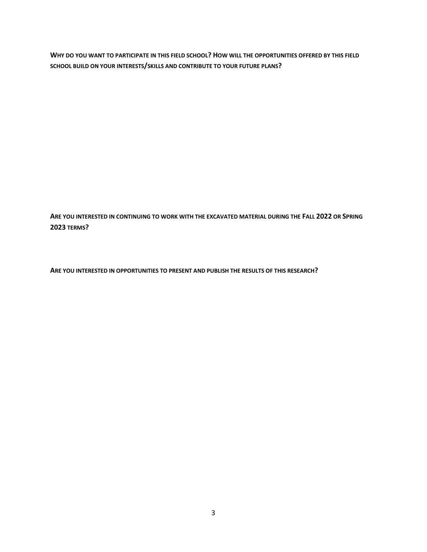**WHY DO YOU WANT TO PARTICIPATE IN THIS FIELD SCHOOL? HOW WILL THE OPPORTUNITIES OFFERED BY THIS FIELD SCHOOL BUILD ON YOUR INTERESTS/SKILLS AND CONTRIBUTE TO YOUR FUTURE PLANS?**

**ARE YOU INTERESTED IN CONTINUING TO WORK WITH THE EXCAVATED MATERIAL DURING THE FALL 2022 OR SPRING 2023 TERMS?**

**ARE YOU INTERESTED IN OPPORTUNITIES TO PRESENT AND PUBLISH THE RESULTS OF THIS RESEARCH?**